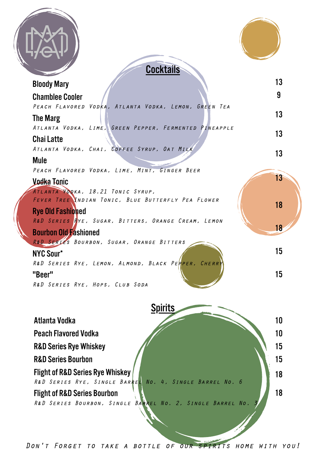|  | <b>Cocktails</b>                                                                                        |    |
|--|---------------------------------------------------------------------------------------------------------|----|
|  | <b>Bloody Mary</b>                                                                                      | 13 |
|  | <b>Chamblee Cooler</b><br>PEACH FLAVORED VODKA, ATLANTA VODKA, LEMON, GREEN TEA                         | 9  |
|  | The Marg                                                                                                | 13 |
|  | ATLANTA VODKA, LIME, GREEN PEPPER, FERMENTED PINEAPPLE<br><b>Chai Latte</b>                             | 13 |
|  | ATLANTA VODKA, CHAI, COFFEE SYRUP, OAT MILK                                                             | 13 |
|  | Mule                                                                                                    |    |
|  | PEACH FLAVORED VODKA, LIME, MINT, GINGER BEER                                                           | 13 |
|  | Vodka Tonic<br>ATLANTA KODKA, 18.21 TONIC SYRUP,                                                        |    |
|  | FEVER TREE YNDIAN TONIC, BLUE BUTTERFLY PEA FLOWER                                                      | 18 |
|  | <b>Rye Old Fashioned</b><br>R&D SERIES RYE, SUGAR, BITTERS, ORANGE CREAM, LEMON                         |    |
|  | <b>Bourbon Old Fashioned</b>                                                                            | 18 |
|  | R&D SERTES BOURBON, SUGAR, ORANGE BITTERS                                                               |    |
|  | <b>NYC Sour*</b><br>R&D SERIES RYE, LEMON, ALMOND, BLACK PERPER, CHERR                                  | 15 |
|  | "Beer"                                                                                                  | 15 |
|  | R&D SERIES RYE, HOPS, CLUB SODA                                                                         |    |
|  | <b>Spirits</b>                                                                                          |    |
|  | Atlanta Vodka                                                                                           | 10 |
|  | <b>Peach Flavored Vodka</b>                                                                             | 10 |
|  | <b>R&amp;D Series Rye Whiskey</b>                                                                       | 15 |
|  | <b>R&amp;D Series Bourbon</b>                                                                           | 15 |
|  | <b>Flight of R&amp;D Series Rye Whiskey</b>                                                             | 18 |
|  | R&D SERIES RYE, SINGLE BARREL NO. 4, SINGLE BARREL NO. 6                                                |    |
|  | <b>Flight of R&amp;D Series Bourbon</b><br>R&D SERIES BOURBON, SINGLE BARREL NO. 2, SINGLE BARREL NO. 3 | 18 |
|  |                                                                                                         |    |
|  |                                                                                                         |    |
|  |                                                                                                         |    |

Don't Forget to take a bottle of our spirits home with you!